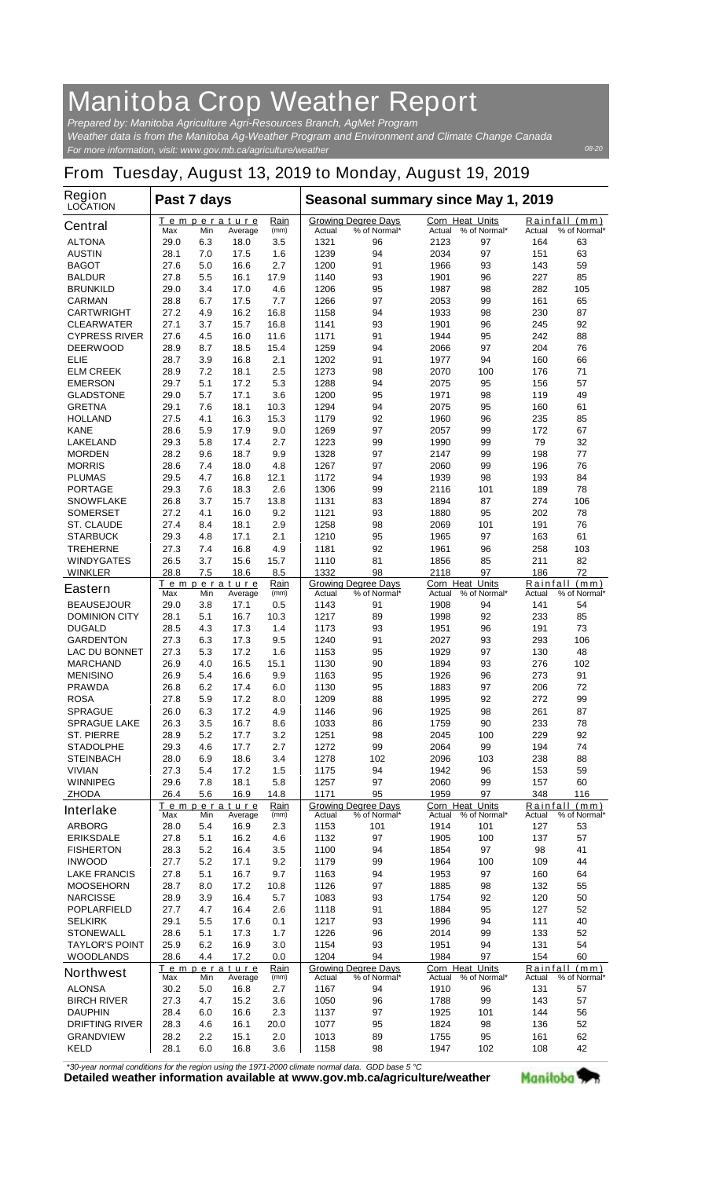## **Manitoba Crop Weather Report**

*For more information, visit: www.gov.mb.ca/agriculture/weather Prepared by: Manitoba Agriculture Agri-Resources Branch, AgMet Program Weather data is from the Manitoba Ag-Weather Program and Environment and Climate Change Canada*

## **From Tuesday, August 13, 2019 to Monday, August 19, 2019**

| Region<br><b>LOCATION</b>                 | Past 7 days  |            |                        |              | Seasonal summary since May 1, 2019 |                                            |                                  |                     |               |                               |
|-------------------------------------------|--------------|------------|------------------------|--------------|------------------------------------|--------------------------------------------|----------------------------------|---------------------|---------------|-------------------------------|
| <b>Central</b>                            | Max          | Min        | Temperature<br>Average | Rain<br>(mm) | Actual                             | <b>Growing Degree Days</b><br>% of Normal* | <b>Corn Heat Units</b><br>Actual | % of Normal*        | Actual        | Rainfall (mm)<br>% of Normal* |
| <b>ALTONA</b>                             | 29.0         | 6.3        | 18.0                   | 3.5          | 1321                               | 96                                         | 2123                             | 97                  | 164           | 63                            |
| <b>AUSTIN</b>                             | 28.1         | 7.0        | 17.5                   | 1.6          | 1239                               | 94                                         | 2034                             | 97                  | 151           | 63                            |
| <b>BAGOT</b>                              | 27.6         | 5.0        | 16.6                   | 2.7          | 1200                               | 91                                         | 1966                             | 93                  | 143           | 59                            |
| <b>BALDUR</b>                             | 27.8         | 5.5        | 16.1                   | 17.9         | 1140                               | 93                                         | 1901                             | 96                  | 227           | 85                            |
| <b>BRUNKILD</b><br><b>CARMAN</b>          | 29.0<br>28.8 | 3.4<br>6.7 | 17.0<br>17.5           | 4.6<br>7.7   | 1206<br>1266                       | 95<br>97                                   | 1987<br>2053                     | 98<br>99            | 282<br>161    | 105<br>65                     |
| <b>CARTWRIGHT</b>                         | 27.2         | 4.9        | 16.2                   | 16.8         | 1158                               | 94                                         | 1933                             | 98                  | 230           | 87                            |
| <b>CLEARWATER</b>                         | 27.1         | 3.7        | 15.7                   | 16.8         | 1141                               | 93                                         | 1901                             | 96                  | 245           | 92                            |
| <b>CYPRESS RIVER</b>                      | 27.6         | 4.5        | 16.0                   | 11.6         | 1171                               | 91                                         | 1944                             | 95                  | 242           | 88                            |
| <b>DEERWOOD</b>                           | 28.9         | 8.7        | 18.5                   | 15.4         | 1259                               | 94                                         | 2066                             | 97                  | 204           | 76                            |
| <b>ELIE</b>                               | 28.7         | 3.9        | 16.8                   | 2.1          | 1202                               | 91                                         | 1977                             | 94                  | 160           | 66                            |
| <b>ELM CREEK</b><br><b>EMERSON</b>        | 28.9<br>29.7 | 7.2<br>5.1 | 18.1<br>17.2           | 2.5<br>5.3   | 1273<br>1288                       | 98<br>94                                   | 2070<br>2075                     | 100<br>95           | 176<br>156    | 71<br>57                      |
| <b>GLADSTONE</b>                          | 29.0         | 5.7        | 17.1                   | 3.6          | 1200                               | 95                                         | 1971                             | 98                  | 119           | 49                            |
| <b>GRETNA</b>                             | 29.1         | 7.6        | 18.1                   | 10.3         | 1294                               | 94                                         | 2075                             | 95                  | 160           | 61                            |
| <b>HOLLAND</b>                            | 27.5         | 4.1        | 16.3                   | 15.3         | 1179                               | 92                                         | 1960                             | 96                  | 235           | 85                            |
| <b>KANE</b>                               | 28.6         | 5.9        | 17.9                   | 9.0          | 1269                               | 97                                         | 2057                             | 99                  | 172           | 67                            |
| <b>LAKELAND</b>                           | 29.3         | 5.8        | 17.4                   | 2.7          | 1223                               | 99                                         | 1990                             | 99                  | 79            | 32                            |
| <b>MORDEN</b><br><b>MORRIS</b>            | 28.2<br>28.6 | 9.6<br>7.4 | 18.7<br>18.0           | 9.9<br>4.8   | 1328<br>1267                       | 97<br>97                                   | 2147<br>2060                     | 99<br>99            | 198<br>196    | 77<br>76                      |
| <b>PLUMAS</b>                             | 29.5         | 4.7        | 16.8                   | 12.1         | 1172                               | 94                                         | 1939                             | 98                  | 193           | 84                            |
| <b>PORTAGE</b>                            | 29.3         | 7.6        | 18.3                   | 2.6          | 1306                               | 99                                         | 2116                             | 101                 | 189           | 78                            |
| <b>SNOWFLAKE</b>                          | 26.8         | 3.7        | 15.7                   | 13.8         | 1131                               | 83                                         | 1894                             | 87                  | 274           | 106                           |
| <b>SOMERSET</b>                           | 27.2         | 4.1        | 16.0                   | 9.2          | 1121                               | 93                                         | 1880                             | 95                  | 202           | 78                            |
| <b>ST. CLAUDE</b>                         | 27.4         | 8.4        | 18.1                   | 2.9          | 1258                               | 98                                         | 2069                             | 101                 | 191           | 76                            |
| <b>STARBUCK</b><br><b>TREHERNE</b>        | 29.3<br>27.3 | 4.8<br>7.4 | 17.1<br>16.8           | 2.1<br>4.9   | 1210<br>1181                       | 95<br>92                                   | 1965<br>1961                     | 97<br>96            | 163<br>258    | 61<br>103                     |
| <b>WINDYGATES</b>                         | 26.5         | 3.7        | 15.6                   | 15.7         | 1110                               | 81                                         | 1856                             | 85                  | 211           | 82                            |
| <b>WINKLER</b>                            | 28.8         | 7.5        | 18.6                   | 8.5          | 1332                               | 98                                         | 2118                             | 97                  | 186           | 72                            |
| <b>Eastern</b>                            |              |            | Temperature            | Rain         |                                    | <b>Growing Degree Days</b>                 | <b>Corn Heat Units</b>           |                     |               | Rainfall (mm)                 |
|                                           | Max          | Min        | Average                | (mm)         | Actual                             | % of Normal*                               | Actual                           | % of Normal*        | Actual        | % of Normal*                  |
| <b>BEAUSEJOUR</b><br><b>DOMINION CITY</b> | 29.0<br>28.1 | 3.8<br>5.1 | 17.1<br>16.7           | 0.5<br>10.3  | 1143<br>1217                       | 91<br>89                                   | 1908<br>1998                     | 94<br>92            | 141<br>233    | 54<br>85                      |
| <b>DUGALD</b>                             | 28.5         | 4.3        | 17.3                   | 1.4          | 1173                               | 93                                         | 1951                             | 96                  | 191           | 73                            |
| <b>GARDENTON</b>                          | 27.3         | 6.3        | 17.3                   | 9.5          | 1240                               | 91                                         | 2027                             | 93                  | 293           | 106                           |
| <b>LAC DU BONNET</b>                      | 27.3         | 5.3        | 17.2                   | 1.6          | 1153                               | 95                                         | 1929                             | 97                  | 130           | 48                            |
| <b>MARCHAND</b>                           | 26.9         | 4.0        | 16.5                   | 15.1         | 1130                               | 90                                         | 1894                             | 93                  | 276           | 102                           |
| <b>MENISINO</b>                           | 26.9         | 5.4        | 16.6                   | 9.9          | 1163                               | 95                                         | 1926                             | 96                  | 273           | 91<br>72                      |
| <b>PRAWDA</b><br><b>ROSA</b>              | 26.8<br>27.8 | 6.2<br>5.9 | 17.4<br>17.2           | 6.0<br>8.0   | 1130<br>1209                       | 95<br>88                                   | 1883<br>1995                     | 97<br>92            | 206<br>272    | 99                            |
| <b>SPRAGUE</b>                            | 26.0         | 6.3        | 17.2                   | 4.9          | 1146                               | 96                                         | 1925                             | 98                  | 261           | 87                            |
| <b>SPRAGUE LAKE</b>                       | 26.3         | 3.5        | 16.7                   | 8.6          | 1033                               | 86                                         | 1759                             | 90                  | 233           | 78                            |
| <b>ST. PIERRE</b>                         | 28.9         | 5.2        | 17.7                   | 3.2          | 1251                               | 98                                         | 2045                             | 100                 | 229           | 92                            |
| <b>STADOLPHE</b>                          | 29.3         | 4.6        | 17.7                   | 2.7          | 1272                               | 99                                         | 2064                             | 99                  | 194           | 74                            |
| <b>STEINBACH</b>                          | 28.0         | 6.9        | 18.6                   | 3.4          | 1278                               | 102                                        | 2096                             | 103                 | 238           | 88                            |
| <b>VIVIAN</b><br><b>WINNIPEG</b>          | 27.3<br>29.6 | 5.4<br>7.8 | 17.2<br>18.1           | 1.5<br>5.8   | 1175<br>1257                       | 94<br>97                                   | 1942<br>2060                     | 96<br>99            | 153<br>157    | 59<br>60                      |
| <b>ZHODA</b>                              | 26.4         | 5.6        | 16.9                   | 14.8         | 1171                               | 95                                         | 1959                             | 97                  | 348           | 116                           |
| <b>Interlake</b>                          |              |            | Temperature            | Rain         |                                    | <b>Growing Degree Days</b>                 | Corn Heat Units                  |                     |               | Rainfall (mm)                 |
|                                           | Max          | Min        | Average                | (mm)         | Actual                             | % of Normal*                               | Actual                           | % of Normal*        | Actual        | % of Normal*                  |
| <b>ARBORG</b><br><b>ERIKSDALE</b>         | 28.0<br>27.8 | 5.4<br>5.1 | 16.9<br>16.2           | 2.3<br>4.6   | 1153<br>1132                       | 101<br>97                                  | 1914<br>1905                     | 101<br>100          | 127<br>137    | 53<br>57                      |
| <b>FISHERTON</b>                          | 28.3         | 5.2        | 16.4                   | 3.5          | 1100                               | 94                                         | 1854                             | 97                  | 98            | 41                            |
| <b>INWOOD</b>                             | 27.7         | 5.2        | 17.1                   | 9.2          | 1179                               | 99                                         | 1964                             | 100                 | 109           | 44                            |
| <b>LAKE FRANCIS</b>                       | 27.8         | 5.1        | 16.7                   | 9.7          | 1163                               | 94                                         | 1953                             | 97                  | 160           | 64                            |
| <b>MOOSEHORN</b>                          | 28.7         | 8.0        | 17.2                   | 10.8         | 1126                               | 97                                         | 1885                             | 98                  | 132           | 55                            |
| <b>NARCISSE</b>                           | 28.9         | 3.9        | 16.4                   | 5.7          | 1083                               | 93                                         | 1754                             | 92                  | 120           | 50                            |
| <b>POPLARFIELD</b><br><b>SELKIRK</b>      | 27.7<br>29.1 | 4.7<br>5.5 | 16.4<br>17.6           | 2.6<br>0.1   | 1118<br>1217                       | 91<br>93                                   | 1884<br>1996                     | 95<br>94            | 127<br>111    | 52<br>40                      |
| <b>STONEWALL</b>                          | 28.6         | 5.1        | 17.3                   | 1.7          | 1226                               | 96                                         | 2014                             | 99                  | 133           | 52                            |
| <b>TAYLOR'S POINT</b>                     | 25.9         | 6.2        | 16.9                   | 3.0          | 1154                               | 93                                         | 1951                             | 94                  | 131           | 54                            |
| <b>WOODLANDS</b>                          | 28.6         | 4.4        | 17.2                   | 0.0          | 1204                               | 94                                         | 1984                             | 97                  | 154           | 60                            |
| <b>Northwest</b>                          |              |            | Temperature            | Rain         |                                    | <b>Growing Degree Days</b>                 | Corn Heat Units                  |                     |               | Rainfall (mm)                 |
| <b>ALONSA</b>                             | Max<br>30.2  | Min<br>5.0 | Average<br>16.8        | (mm)         | Actual<br>1167                     | % of Normal*<br>94                         | 1910                             | Actual % of Normal* | Actual<br>131 | % of Normal*<br>57            |
| <b>BIRCH RIVER</b>                        | 27.3         | 4.7        | 15.2                   | 2.7<br>3.6   | 1050                               | 96                                         | 1788                             | 96<br>99            | 143           | 57                            |
| <b>DAUPHIN</b>                            | 28.4         | 6.0        | 16.6                   | 2.3          | 1137                               | 97                                         | 1925                             | 101                 | 144           | 56                            |
| <b>DRIFTING RIVER</b>                     | 28.3         | 4.6        | 16.1                   | 20.0         | 1077                               | 95                                         | 1824                             | 98                  | 136           | 52                            |
| <b>GRANDVIEW</b>                          | 28.2         | 2.2        | 15.1                   | 2.0          | 1013                               | 89                                         | 1755                             | 95                  | 161           | 62                            |
| <b>KELD</b>                               | 28.1         | 6.0        | 16.8                   | 3.6          | 1158                               | 98                                         | 1947                             | 102                 | 108           | 42                            |

*\*30-year normal conditions for the region using the 1971-2000 climate normal data. GDD base 5 °C*<br>Detailed weather information available at www.gov.mb.ca/agriculture/weather